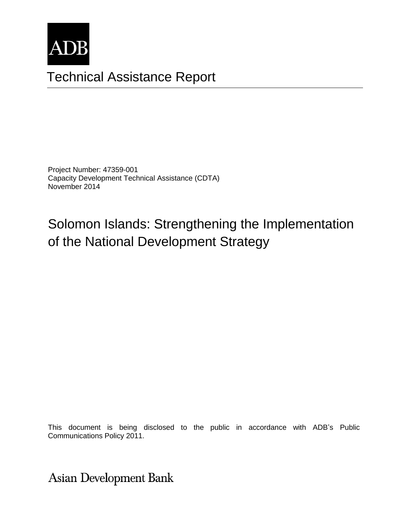

# Technical Assistance Report

Project Number: 47359-001 Capacity Development Technical Assistance (CDTA) November 2014

Solomon Islands: Strengthening the Implementation of the National Development Strategy

This document is being disclosed to the public in accordance with ADB's Public Communications Policy 2011.

**Asian Development Bank**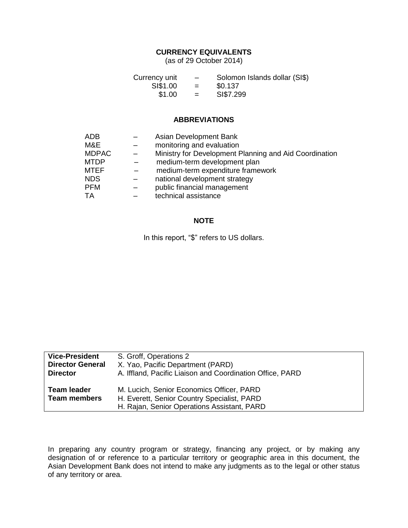#### **CURRENCY EQUIVALENTS**

(as of 29 October 2014)

| Currency unit | $\overline{\phantom{0}}$ | Solomon Islands dollar (SI\$) |
|---------------|--------------------------|-------------------------------|
| SI\$1.00      | $=$                      | \$0.137                       |
| \$1.00        | $=$                      | SI\$7.299                     |

#### **ABBREVIATIONS**

| <b>ADB</b>   | Asian Development Bank                                 |
|--------------|--------------------------------------------------------|
| M&E          | monitoring and evaluation                              |
| <b>MDPAC</b> | Ministry for Development Planning and Aid Coordination |
| <b>MTDP</b>  | medium-term development plan                           |
| <b>MTEF</b>  | medium-term expenditure framework                      |
| <b>NDS</b>   | national development strategy                          |
| <b>PFM</b>   | public financial management                            |
| TA           | technical assistance                                   |

## **NOTE**

In this report, "\$" refers to US dollars.

| <b>Vice-President</b>                     | S. Groff, Operations 2                                                                                                                  |
|-------------------------------------------|-----------------------------------------------------------------------------------------------------------------------------------------|
| <b>Director General</b>                   | X. Yao, Pacific Department (PARD)                                                                                                       |
| <b>Director</b>                           | A. Iffland, Pacific Liaison and Coordination Office, PARD                                                                               |
| <b>Team leader</b><br><b>Team members</b> | M. Lucich, Senior Economics Officer, PARD<br>H. Everett, Senior Country Specialist, PARD<br>H. Rajan, Senior Operations Assistant, PARD |
|                                           |                                                                                                                                         |

In preparing any country program or strategy, financing any project, or by making any designation of or reference to a particular territory or geographic area in this document, the Asian Development Bank does not intend to make any judgments as to the legal or other status of any territory or area.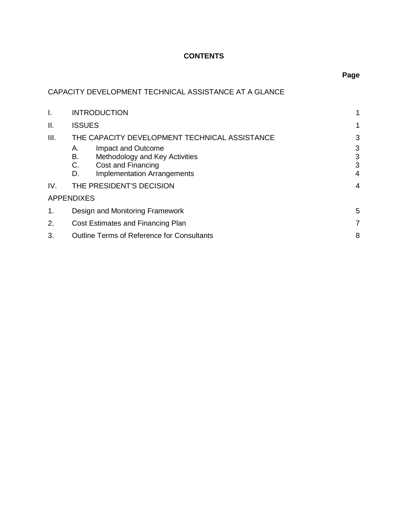## **CONTENTS**

# CAPACITY DEVELOPMENT TECHNICAL ASSISTANCE AT A GLANCE

| I.   | <b>INTRODUCTION</b>                                    |   |
|------|--------------------------------------------------------|---|
| II.  | <b>ISSUES</b>                                          | 1 |
| III. | THE CAPACITY DEVELOPMENT TECHNICAL ASSISTANCE          | 3 |
|      | Impact and Outcome<br>А.                               | 3 |
|      | В.<br>Methodology and Key Activities                   | 3 |
|      | C.<br>Cost and Financing                               | 3 |
|      | <b>Implementation Arrangements</b><br>D.               | 4 |
| IV.  | THE PRESIDENT'S DECISION                               |   |
|      | <b>APPENDIXES</b>                                      |   |
| 1.   | Design and Monitoring Framework                        |   |
| 2.   | Cost Estimates and Financing Plan                      |   |
| 3.   | 8<br><b>Outline Terms of Reference for Consultants</b> |   |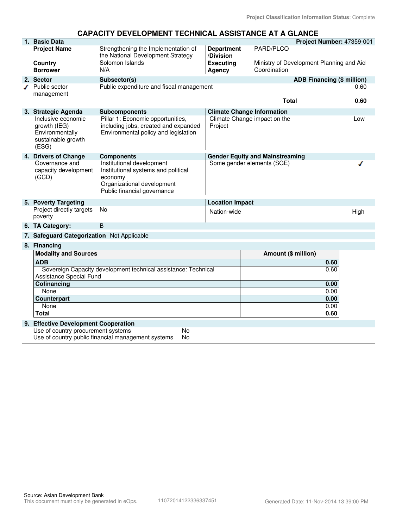## **CAPACITY DEVELOPMENT TECHNICAL ASSISTANCE AT A GLANCE**

| 1. Basic Data                                                                        |                                                                                                                                          |                                |                                        | Project Number: 47359-001                |
|--------------------------------------------------------------------------------------|------------------------------------------------------------------------------------------------------------------------------------------|--------------------------------|----------------------------------------|------------------------------------------|
| <b>Project Name</b>                                                                  | Strengthening the Implementation of<br>the National Development Strategy                                                                 | <b>Department</b><br>/Division | PARD/PLCO                              |                                          |
| Country<br><b>Borrower</b>                                                           | Solomon Islands<br>N/A                                                                                                                   | <b>Executing</b><br>Agency     | Coordination                           | Ministry of Development Planning and Aid |
| 2. Sector                                                                            | Subsector(s)                                                                                                                             |                                |                                        | <b>ADB Financing (\$ million)</b>        |
| $\sqrt{ }$ Public sector                                                             | Public expenditure and fiscal management                                                                                                 |                                |                                        | 0.60                                     |
| management                                                                           |                                                                                                                                          |                                |                                        |                                          |
|                                                                                      |                                                                                                                                          |                                | Total                                  | 0.60                                     |
| 3. Strategic Agenda                                                                  | <b>Subcomponents</b>                                                                                                                     |                                | <b>Climate Change Information</b>      |                                          |
| Inclusive economic<br>growth (IEG)<br>Environmentally<br>sustainable growth<br>(ESG) | Pillar 1: Economic opportunities,<br>including jobs, created and expanded<br>Environmental policy and legislation                        | Project                        | Climate Change impact on the           | Low                                      |
| 4. Drivers of Change                                                                 | <b>Components</b>                                                                                                                        |                                | <b>Gender Equity and Mainstreaming</b> |                                          |
| Governance and<br>capacity development<br>(GCD)                                      | Institutional development<br>Institutional systems and political<br>economy<br>Organizational development<br>Public financial governance |                                | Some gender elements (SGE)             |                                          |
| 5. Poverty Targeting                                                                 |                                                                                                                                          | <b>Location Impact</b>         |                                        |                                          |
| Project directly targets<br>poverty                                                  | No                                                                                                                                       | Nation-wide                    |                                        | High                                     |
| 6. TA Category:                                                                      | B                                                                                                                                        |                                |                                        |                                          |
| 7. Safeguard Categorization Not Applicable                                           |                                                                                                                                          |                                |                                        |                                          |
| 8. Financing                                                                         |                                                                                                                                          |                                |                                        |                                          |
| <b>Modality and Sources</b>                                                          |                                                                                                                                          |                                | Amount (\$ million)                    |                                          |
| <b>ADB</b>                                                                           |                                                                                                                                          |                                |                                        | 0.60                                     |
| Sovereign Capacity development technical assistance: Technical                       |                                                                                                                                          |                                |                                        | 0.60                                     |
| <b>Assistance Special Fund</b><br>Cofinancing                                        |                                                                                                                                          |                                |                                        | 0.00                                     |
| None                                                                                 |                                                                                                                                          |                                |                                        | 0.00                                     |
| Counterpart                                                                          |                                                                                                                                          |                                |                                        | 0.00                                     |
| None                                                                                 |                                                                                                                                          |                                |                                        | 0.00                                     |
| <b>Total</b>                                                                         |                                                                                                                                          |                                |                                        | 0.60                                     |
| 9. Effective Development Cooperation                                                 |                                                                                                                                          |                                |                                        |                                          |
| Use of country procurement systems                                                   | <b>No</b>                                                                                                                                |                                |                                        |                                          |
|                                                                                      | Use of country public financial management systems<br>No                                                                                 |                                |                                        |                                          |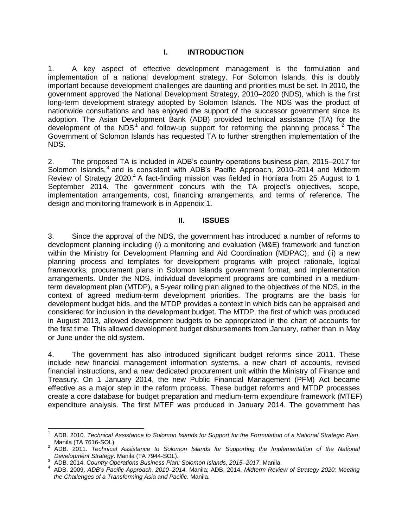#### **I. INTRODUCTION**

1. A key aspect of effective development management is the formulation and implementation of a national development strategy. For Solomon Islands, this is doubly important because development challenges are daunting and priorities must be set. In 2010, the government approved the National Development Strategy, 2010–2020 (NDS), which is the first long-term development strategy adopted by Solomon Islands. The NDS was the product of nationwide consultations and has enjoyed the support of the successor government since its adoption. The Asian Development Bank (ADB) provided technical assistance (TA) for the development of the NDS<sup>1</sup> and follow-up support for reforming the planning process.<sup>2</sup> The Government of Solomon Islands has requested TA to further strengthen implementation of the NDS.

2. The proposed TA is included in ADB's country operations business plan, 2015–2017 for Solomon Islands,<sup>3</sup> and is consistent with ADB's Pacific Approach, 2010–2014 and Midterm Review of Strategy 2020.<sup>4</sup> A fact-finding mission was fielded in Honiara from 25 August to 1 September 2014. The government concurs with the TA project's objectives, scope, implementation arrangements, cost, financing arrangements, and terms of reference. The design and monitoring framework is in Appendix 1.

#### **II. ISSUES**

3. Since the approval of the NDS, the government has introduced a number of reforms to development planning including (i) a monitoring and evaluation (M&E) framework and function within the Ministry for Development Planning and Aid Coordination (MDPAC); and (ii) a new planning process and templates for development programs with project rationale, logical frameworks, procurement plans in Solomon Islands government format, and implementation arrangements. Under the NDS, individual development programs are combined in a mediumterm development plan (MTDP), a 5-year rolling plan aligned to the objectives of the NDS, in the context of agreed medium-term development priorities. The programs are the basis for development budget bids, and the MTDP provides a context in which bids can be appraised and considered for inclusion in the development budget. The MTDP, the first of which was produced in August 2013, allowed development budgets to be appropriated in the chart of accounts for the first time. This allowed development budget disbursements from January, rather than in May or June under the old system.

4. The government has also introduced significant budget reforms since 2011. These include new financial management information systems, a new chart of accounts, revised financial instructions, and a new dedicated procurement unit within the Ministry of Finance and Treasury. On 1 January 2014, the new Public Financial Management (PFM) Act became effective as a major step in the reform process. These budget reforms and MTDP processes create a core database for budget preparation and medium-term expenditure framework (MTEF) expenditure analysis. The first MTEF was produced in January 2014. The government has

 $\overline{a}$ 

<sup>1</sup> ADB. 2010. *Technical Assistance to Solomon Islands for Support for the Formulation of a National Strategic Plan*. Manila (TA 7616-SOL).

<sup>2</sup> ADB. 2011. *Technical Assistance to Solomon Islands for Supporting the Implementation of the National Development Strategy*. Manila (TA 7944-SOL).

<sup>3</sup> ADB. 2014. *Country Operations Business Plan: Solomon Islands, 2015–2017*. Manila.

<sup>4</sup> ADB. 2009. *ADB's Pacific Approach, 2010–2014.* Manila; ADB. 2014. *Midterm Review of Strategy 2020: Meeting the Challenges of a Transforming Asia and Pacific*. Manila.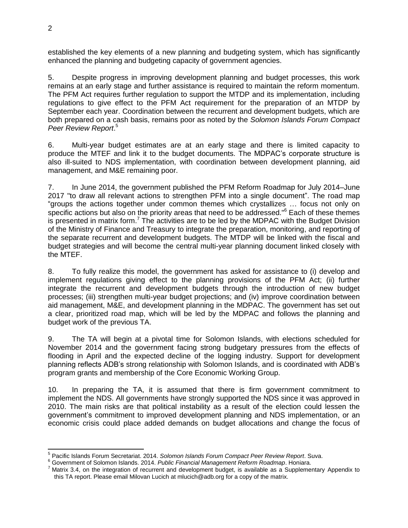established the key elements of a new planning and budgeting system, which has significantly enhanced the planning and budgeting capacity of government agencies.

5. Despite progress in improving development planning and budget processes, this work remains at an early stage and further assistance is required to maintain the reform momentum. The PFM Act requires further regulation to support the MTDP and its implementation, including regulations to give effect to the PFM Act requirement for the preparation of an MTDP by September each year. Coordination between the recurrent and development budgets, which are both prepared on a cash basis, remains poor as noted by the *Solomon Islands Forum Compact Peer Review Report*. 5

6. Multi-year budget estimates are at an early stage and there is limited capacity to produce the MTEF and link it to the budget documents. The MDPAC's corporate structure is also ill-suited to NDS implementation, with coordination between development planning, aid management, and M&E remaining poor.

7. In June 2014, the government published the PFM Reform Roadmap for July 2014–June 2017 "to draw all relevant actions to strengthen PFM into a single document". The road map "groups the actions together under common themes which crystallizes … focus not only on specific actions but also on the priority areas that need to be addressed."<sup>6</sup> Each of these themes is presented in matrix form.<sup>7</sup> The activities are to be led by the MDPAC with the Budget Division of the Ministry of Finance and Treasury to integrate the preparation, monitoring, and reporting of the separate recurrent and development budgets. The MTDP will be linked with the fiscal and budget strategies and will become the central multi-year planning document linked closely with the MTEF.

8. To fully realize this model, the government has asked for assistance to (i) develop and implement regulations giving effect to the planning provisions of the PFM Act; (ii) further integrate the recurrent and development budgets through the introduction of new budget processes; (iii) strengthen multi-year budget projections; and (iv) improve coordination between aid management, M&E, and development planning in the MDPAC. The government has set out a clear, prioritized road map, which will be led by the MDPAC and follows the planning and budget work of the previous TA.

9. The TA will begin at a pivotal time for Solomon Islands, with elections scheduled for November 2014 and the government facing strong budgetary pressures from the effects of flooding in April and the expected decline of the logging industry. Support for development planning reflects ADB's strong relationship with Solomon Islands, and is coordinated with ADB's program grants and membership of the Core Economic Working Group.

10. In preparing the TA, it is assumed that there is firm government commitment to implement the NDS. All governments have strongly supported the NDS since it was approved in 2010. The main risks are that political instability as a result of the election could lessen the government's commitment to improved development planning and NDS implementation, or an economic crisis could place added demands on budget allocations and change the focus of

 5 Pacific Islands Forum Secretariat. 2014. *Solomon Islands Forum Compact Peer Review Report*. Suva.

<sup>6</sup> Government of Solomon Islands. 2014. *Public Financial Management Reform Roadmap*. Honiara.

 $<sup>7</sup>$  Matrix 3.4, on the integration of recurrent and development budget, is available as a Supplementary Appendix to</sup> this TA report. Please email Milovan Lucich at mlucich@adb.org for a copy of the matrix.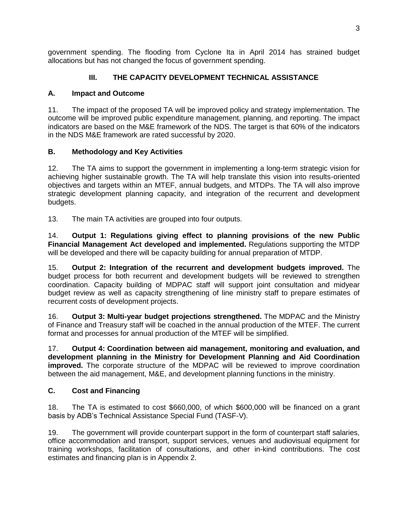government spending. The flooding from Cyclone Ita in April 2014 has strained budget allocations but has not changed the focus of government spending.

## **III. THE CAPACITY DEVELOPMENT TECHNICAL ASSISTANCE**

## **A. Impact and Outcome**

11. The impact of the proposed TA will be improved policy and strategy implementation. The outcome will be improved public expenditure management, planning, and reporting. The impact indicators are based on the M&E framework of the NDS. The target is that 60% of the indicators in the NDS M&E framework are rated successful by 2020.

## **B. Methodology and Key Activities**

12. The TA aims to support the government in implementing a long-term strategic vision for achieving higher sustainable growth. The TA will help translate this vision into results-oriented objectives and targets within an MTEF, annual budgets, and MTDPs. The TA will also improve strategic development planning capacity, and integration of the recurrent and development budgets.

13. The main TA activities are grouped into four outputs.

14. **Output 1: Regulations giving effect to planning provisions of the new Public Financial Management Act developed and implemented.** Regulations supporting the MTDP will be developed and there will be capacity building for annual preparation of MTDP.

15. **Output 2: Integration of the recurrent and development budgets improved.** The budget process for both recurrent and development budgets will be reviewed to strengthen coordination. Capacity building of MDPAC staff will support joint consultation and midyear budget review as well as capacity strengthening of line ministry staff to prepare estimates of recurrent costs of development projects.

16. **Output 3: Multi-year budget projections strengthened.** The MDPAC and the Ministry of Finance and Treasury staff will be coached in the annual production of the MTEF. The current format and processes for annual production of the MTEF will be simplified.

17. **Output 4: Coordination between aid management, monitoring and evaluation, and development planning in the Ministry for Development Planning and Aid Coordination improved.** The corporate structure of the MDPAC will be reviewed to improve coordination between the aid management, M&E, and development planning functions in the ministry.

## **C. Cost and Financing**

18. The TA is estimated to cost \$660,000, of which \$600,000 will be financed on a grant basis by ADB's Technical Assistance Special Fund (TASF-V).

19. The government will provide counterpart support in the form of counterpart staff salaries, office accommodation and transport, support services, venues and audiovisual equipment for training workshops, facilitation of consultations, and other in-kind contributions. The cost estimates and financing plan is in Appendix 2.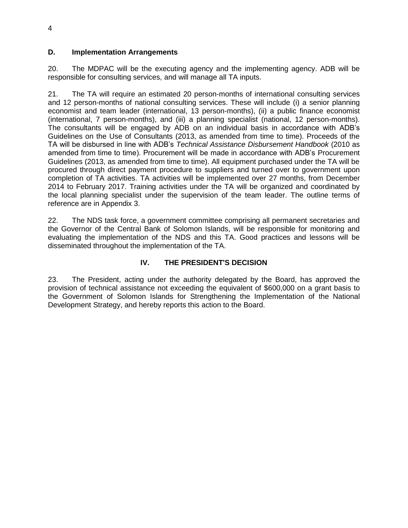## **D. Implementation Arrangements**

20. The MDPAC will be the executing agency and the implementing agency. ADB will be responsible for consulting services, and will manage all TA inputs.

21. The TA will require an estimated 20 person-months of international consulting services and 12 person-months of national consulting services. These will include (i) a senior planning economist and team leader (international, 13 person-months), (ii) a public finance economist (international, 7 person-months), and (iii) a planning specialist (national, 12 person-months). The consultants will be engaged by ADB on an individual basis in accordance with ADB's Guidelines on the Use of Consultants (2013, as amended from time to time). Proceeds of the TA will be disbursed in line with ADB's *Technical Assistance Disbursement Handbook* (2010 as amended from time to time). Procurement will be made in accordance with ADB's Procurement Guidelines (2013, as amended from time to time). All equipment purchased under the TA will be procured through direct payment procedure to suppliers and turned over to government upon completion of TA activities. TA activities will be implemented over 27 months, from December 2014 to February 2017. Training activities under the TA will be organized and coordinated by the local planning specialist under the supervision of the team leader. The outline terms of reference are in Appendix 3.

22. The NDS task force, a government committee comprising all permanent secretaries and the Governor of the Central Bank of Solomon Islands, will be responsible for monitoring and evaluating the implementation of the NDS and this TA. Good practices and lessons will be disseminated throughout the implementation of the TA.

## **IV. THE PRESIDENT'S DECISION**

23. The President, acting under the authority delegated by the Board, has approved the provision of technical assistance not exceeding the equivalent of \$600,000 on a grant basis to the Government of Solomon Islands for Strengthening the Implementation of the National Development Strategy, and hereby reports this action to the Board.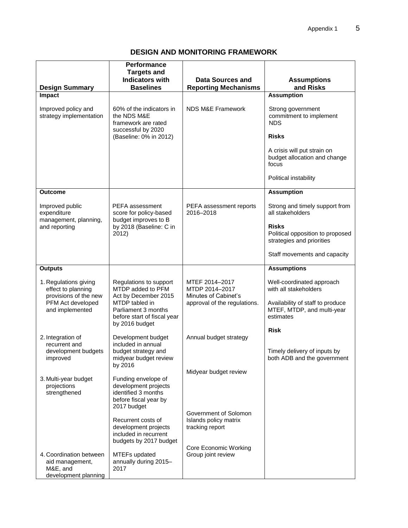## **DESIGN AND MONITORING FRAMEWORK**

| <b>Design Summary</b>                                                          | <b>Performance</b><br><b>Targets and</b><br><b>Indicators with</b><br><b>Baselines</b>                                                                        | <b>Data Sources and</b><br><b>Reporting Mechanisms</b>                                   | <b>Assumptions</b><br>and Risks                                               |
|--------------------------------------------------------------------------------|---------------------------------------------------------------------------------------------------------------------------------------------------------------|------------------------------------------------------------------------------------------|-------------------------------------------------------------------------------|
| Impact                                                                         |                                                                                                                                                               |                                                                                          | <b>Assumption</b>                                                             |
| Improved policy and<br>strategy implementation                                 | 60% of the indicators in<br>the NDS M&E<br>framework are rated<br>successful by 2020                                                                          | <b>NDS M&amp;E Framework</b>                                                             | Strong government<br>commitment to implement<br><b>NDS</b>                    |
|                                                                                | (Baseline: 0% in 2012)                                                                                                                                        |                                                                                          | <b>Risks</b>                                                                  |
|                                                                                |                                                                                                                                                               |                                                                                          | A crisis will put strain on<br>budget allocation and change<br>focus          |
|                                                                                |                                                                                                                                                               |                                                                                          | Political instability                                                         |
| Outcome                                                                        |                                                                                                                                                               |                                                                                          | <b>Assumption</b>                                                             |
| Improved public<br>expenditure                                                 | PEFA assessment<br>score for policy-based<br>budget improves to B<br>by 2018 (Baseline: C in<br>2012)                                                         | PEFA assessment reports<br>2016-2018                                                     | Strong and timely support from<br>all stakeholders                            |
| management, planning,<br>and reporting                                         |                                                                                                                                                               |                                                                                          | <b>Risks</b><br>Political opposition to proposed<br>strategies and priorities |
|                                                                                |                                                                                                                                                               |                                                                                          | Staff movements and capacity                                                  |
| <b>Outputs</b>                                                                 |                                                                                                                                                               |                                                                                          | <b>Assumptions</b>                                                            |
| 1. Regulations giving<br>effect to planning<br>provisions of the new           | Regulations to support<br>MTDP added to PFM<br>Act by December 2015<br>MTDP tabled in<br>Parliament 3 months<br>before start of fiscal year<br>by 2016 budget | MTEF 2014-2017<br>MTDP 2014-2017<br>Minutes of Cabinet's<br>approval of the regulations. | Well-coordinated approach<br>with all stakeholders                            |
| PFM Act developed<br>and implemented                                           |                                                                                                                                                               |                                                                                          | Availability of staff to produce<br>MTEF, MTDP, and multi-year<br>estimates   |
|                                                                                |                                                                                                                                                               |                                                                                          | <b>Risk</b>                                                                   |
| 2. Integration of<br>recurrent and<br>development budgets                      | Development budget<br>included in annual<br>budget strategy and                                                                                               | Annual budget strategy                                                                   | Timely delivery of inputs by                                                  |
| improved                                                                       | midyear budget review<br>by 2016                                                                                                                              |                                                                                          | both ADB and the government                                                   |
|                                                                                |                                                                                                                                                               | Midyear budget review                                                                    |                                                                               |
| 3. Multi-year budget<br>projections<br>strengthened                            | Funding envelope of<br>development projects<br>identified 3 months<br>before fiscal year by<br>2017 budget                                                    |                                                                                          |                                                                               |
|                                                                                | Recurrent costs of<br>development projects<br>included in recurrent<br>budgets by 2017 budget                                                                 | Government of Solomon<br>Islands policy matrix<br>tracking report                        |                                                                               |
| 4. Coordination between<br>aid management,<br>M&E, and<br>development planning | MTEFs updated<br>annually during 2015-<br>2017                                                                                                                | Core Economic Working<br>Group joint review                                              |                                                                               |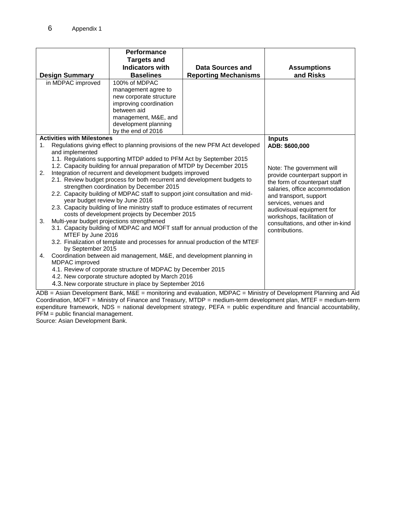|                                                                               |                                                                                                                                                                                   | Performance                                                            |                                                                               |                                                                |
|-------------------------------------------------------------------------------|-----------------------------------------------------------------------------------------------------------------------------------------------------------------------------------|------------------------------------------------------------------------|-------------------------------------------------------------------------------|----------------------------------------------------------------|
|                                                                               |                                                                                                                                                                                   | <b>Targets and</b>                                                     |                                                                               |                                                                |
|                                                                               |                                                                                                                                                                                   | <b>Indicators with</b>                                                 | Data Sources and                                                              | <b>Assumptions</b>                                             |
|                                                                               | <b>Design Summary</b>                                                                                                                                                             | <b>Baselines</b>                                                       | <b>Reporting Mechanisms</b>                                                   | and Risks                                                      |
|                                                                               | in MDPAC improved                                                                                                                                                                 | 100% of MDPAC                                                          |                                                                               |                                                                |
|                                                                               |                                                                                                                                                                                   | management agree to                                                    |                                                                               |                                                                |
|                                                                               |                                                                                                                                                                                   | new corporate structure                                                |                                                                               |                                                                |
|                                                                               |                                                                                                                                                                                   | improving coordination                                                 |                                                                               |                                                                |
|                                                                               |                                                                                                                                                                                   | between aid                                                            |                                                                               |                                                                |
|                                                                               |                                                                                                                                                                                   | management, M&E, and                                                   |                                                                               |                                                                |
|                                                                               |                                                                                                                                                                                   | development planning                                                   |                                                                               |                                                                |
|                                                                               |                                                                                                                                                                                   | by the end of 2016                                                     |                                                                               |                                                                |
|                                                                               | <b>Activities with Milestones</b>                                                                                                                                                 |                                                                        |                                                                               | <b>Inputs</b>                                                  |
| 1.                                                                            | and implemented                                                                                                                                                                   |                                                                        | Regulations giving effect to planning provisions of the new PFM Act developed | ADB: \$600,000                                                 |
|                                                                               |                                                                                                                                                                                   | 1.1. Regulations supporting MTDP added to PFM Act by September 2015    |                                                                               |                                                                |
|                                                                               |                                                                                                                                                                                   | 1.2. Capacity building for annual preparation of MTDP by December 2015 |                                                                               |                                                                |
| 2.                                                                            |                                                                                                                                                                                   |                                                                        |                                                                               | Note: The government will                                      |
|                                                                               | Integration of recurrent and development budgets improved<br>2.1. Review budget process for both recurrent and development budgets to<br>strengthen coordination by December 2015 |                                                                        |                                                                               | provide counterpart support in                                 |
|                                                                               |                                                                                                                                                                                   |                                                                        |                                                                               | the form of counterpart staff                                  |
|                                                                               |                                                                                                                                                                                   |                                                                        |                                                                               | salaries, office accommodation                                 |
|                                                                               | 2.2. Capacity building of MDPAC staff to support joint consultation and mid-<br>year budget review by June 2016                                                                   |                                                                        |                                                                               | and transport, support                                         |
|                                                                               | 2.3. Capacity building of line ministry staff to produce estimates of recurrent                                                                                                   |                                                                        |                                                                               | services, venues and                                           |
|                                                                               |                                                                                                                                                                                   | costs of development projects by December 2015                         |                                                                               | audiovisual equipment for                                      |
| 3.                                                                            | Multi-year budget projections strengthened                                                                                                                                        |                                                                        |                                                                               | workshops, facilitation of<br>consultations, and other in-kind |
|                                                                               | 3.1. Capacity building of MDPAC and MOFT staff for annual production of the                                                                                                       |                                                                        |                                                                               | contributions.                                                 |
| MTEF by June 2016                                                             |                                                                                                                                                                                   |                                                                        |                                                                               |                                                                |
| 3.2. Finalization of template and processes for annual production of the MTEF |                                                                                                                                                                                   |                                                                        |                                                                               |                                                                |
|                                                                               | by September 2015                                                                                                                                                                 |                                                                        |                                                                               |                                                                |
| 4.                                                                            | Coordination between aid management, M&E, and development planning in                                                                                                             |                                                                        |                                                                               |                                                                |
|                                                                               | MDPAC improved                                                                                                                                                                    |                                                                        |                                                                               |                                                                |
| 4.1. Review of corporate structure of MDPAC by December 2015                  |                                                                                                                                                                                   |                                                                        |                                                                               |                                                                |
| 4.2. New corporate structure adopted by March 2016                            |                                                                                                                                                                                   |                                                                        |                                                                               |                                                                |
|                                                                               |                                                                                                                                                                                   | 4.3. New corporate structure in place by September 2016                |                                                                               |                                                                |
| <u>nn</u>                                                                     |                                                                                                                                                                                   | Asian Department Darly MOE - presidential and contracting MDDAO        | $A = 1 - 1$                                                                   | DL-                                                            |

ADB = Asian Development Bank, M&E = monitoring and evaluation, MDPAC = Ministry of Development Planning and Aid Coordination, MOFT = Ministry of Finance and Treasury, MTDP = medium-term development plan, MTEF = medium-term expenditure framework, NDS = national development strategy, PEFA = public expenditure and financial accountability, PFM = public financial management.

Source: Asian Development Bank.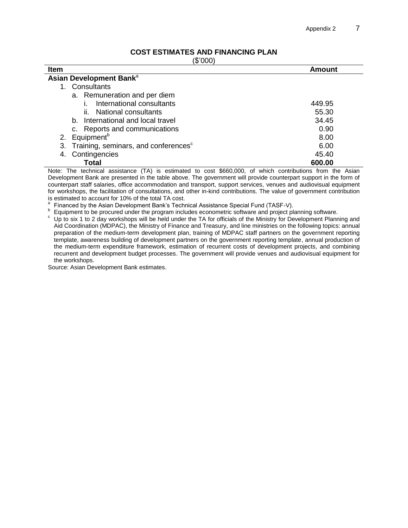## **COST ESTIMATES AND FINANCING PLAN**

(\$'000)

| $\sim$ $\sim$ $\sim$ $\sim$ $\sim$                     |               |  |
|--------------------------------------------------------|---------------|--|
| <b>Item</b>                                            | <b>Amount</b> |  |
| Asian Development Bank <sup>a</sup>                    |               |  |
| Consultants<br>1.                                      |               |  |
| a. Remuneration and per diem                           |               |  |
| International consultants                              | 449.95        |  |
| ii. National consultants                               | 55.30         |  |
| b. International and local travel                      | 34.45         |  |
| c. Reports and communications                          | 0.90          |  |
| 2. Equipment <sup>b</sup>                              | 8.00          |  |
| Training, seminars, and conferences <sup>c</sup><br>3. | 6.00          |  |
| Contingencies<br>4.                                    | 45.40         |  |
| Total                                                  | 600.00        |  |

Note: The technical assistance (TA) is estimated to cost \$660,000, of which contributions from the Asian Development Bank are presented in the table above. The government will provide counterpart support in the form of counterpart staff salaries, office accommodation and transport, support services, venues and audiovisual equipment for workshops, the facilitation of consultations, and other in-kind contributions. The value of government contribution is estimated to account for 10% of the total TA cost.

a Financed by the Asian Development Bank's Technical Assistance Special Fund (TASF-V).

b Equipment to be procured under the program includes econometric software and project planning software.

<sup>c</sup> Up to six 1 to 2 day workshops will be held under the TA for officials of the Ministry for Development Planning and Aid Coordination (MDPAC), the Ministry of Finance and Treasury, and line ministries on the following topics: annual preparation of the medium-term development plan, training of MDPAC staff partners on the government reporting template, awareness building of development partners on the government reporting template, annual production of the medium-term expenditure framework, estimation of recurrent costs of development projects, and combining recurrent and development budget processes. The government will provide venues and audiovisual equipment for the workshops.

Source: Asian Development Bank estimates.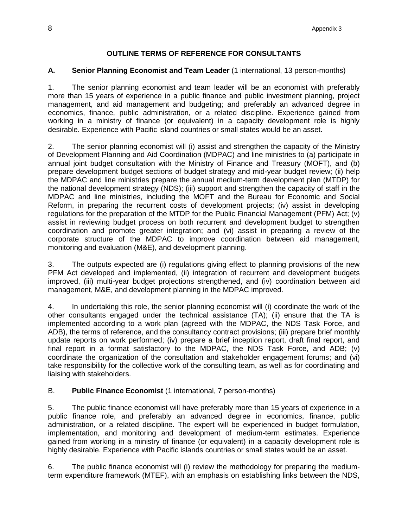## **OUTLINE TERMS OF REFERENCE FOR CONSULTANTS**

#### **A. Senior Planning Economist and Team Leader** (1 international, 13 person-months)

1. The senior planning economist and team leader will be an economist with preferably more than 15 years of experience in a public finance and public investment planning, project management, and aid management and budgeting; and preferably an advanced degree in economics, finance, public administration, or a related discipline. Experience gained from working in a ministry of finance (or equivalent) in a capacity development role is highly desirable. Experience with Pacific island countries or small states would be an asset.

2. The senior planning economist will (i) assist and strengthen the capacity of the Ministry of Development Planning and Aid Coordination (MDPAC) and line ministries to (a) participate in annual joint budget consultation with the Ministry of Finance and Treasury (MOFT), and (b) prepare development budget sections of budget strategy and mid-year budget review; (ii) help the MDPAC and line ministries prepare the annual medium-term development plan (MTDP) for the national development strategy (NDS); (iii) support and strengthen the capacity of staff in the MDPAC and line ministries, including the MOFT and the Bureau for Economic and Social Reform, in preparing the recurrent costs of development projects; (iv) assist in developing regulations for the preparation of the MTDP for the Public Financial Management (PFM) Act;  $(v)$ assist in reviewing budget process on both recurrent and development budget to strengthen coordination and promote greater integration; and (vi) assist in preparing a review of the corporate structure of the MDPAC to improve coordination between aid management, monitoring and evaluation (M&E), and development planning.

3. The outputs expected are (i) regulations giving effect to planning provisions of the new PFM Act developed and implemented, (ii) integration of recurrent and development budgets improved, (iii) multi-year budget projections strengthened, and (iv) coordination between aid management, M&E, and development planning in the MDPAC improved.

4. In undertaking this role, the senior planning economist will (i) coordinate the work of the other consultants engaged under the technical assistance (TA); (ii) ensure that the TA is implemented according to a work plan (agreed with the MDPAC, the NDS Task Force, and ADB), the terms of reference, and the consultancy contract provisions; (iii) prepare brief monthly update reports on work performed; (iv) prepare a brief inception report, draft final report, and final report in a format satisfactory to the MDPAC, the NDS Task Force, and ADB; (v) coordinate the organization of the consultation and stakeholder engagement forums; and (vi) take responsibility for the collective work of the consulting team, as well as for coordinating and liaising with stakeholders.

## B. **Public Finance Economist** (1 international, 7 person-months)

5. The public finance economist will have preferably more than 15 years of experience in a public finance role, and preferably an advanced degree in economics, finance, public administration, or a related discipline. The expert will be experienced in budget formulation, implementation, and monitoring and development of medium-term estimates. Experience gained from working in a ministry of finance (or equivalent) in a capacity development role is highly desirable. Experience with Pacific islands countries or small states would be an asset.

6. The public finance economist will (i) review the methodology for preparing the mediumterm expenditure framework (MTEF), with an emphasis on establishing links between the NDS,